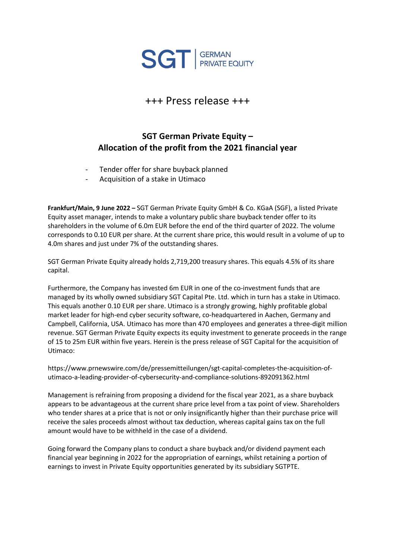

## +++ Press release +++

## **SGT German Private Equity – Allocation of the profit from the 2021 financial year**

- Tender offer for share buyback planned
- Acquisition of a stake in Utimaco

**Frankfurt/Main, 9 June 2022 –** SGT German Private Equity GmbH & Co. KGaA (SGF), a listed Private Equity asset manager, intends to make a voluntary public share buyback tender offer to its shareholders in the volume of 6.0m EUR before the end of the third quarter of 2022. The volume corresponds to 0.10 EUR per share. At the current share price, this would result in a volume of up to 4.0m shares and just under 7% of the outstanding shares.

SGT German Private Equity already holds 2,719,200 treasury shares. This equals 4.5% of its share capital.

Furthermore, the Company has invested 6m EUR in one of the co-investment funds that are managed by its wholly owned subsidiary SGT Capital Pte. Ltd. which in turn has a stake in Utimaco. This equals another 0.10 EUR per share. Utimaco is a strongly growing, highly profitable global market leader for high-end cyber security software, co-headquartered in Aachen, Germany and Campbell, California, USA. Utimaco has more than 470 employees and generates a three-digit million revenue. SGT German Private Equity expects its equity investment to generate proceeds in the range of 15 to 25m EUR within five years. Herein is the press release of SGT Capital for the acquisition of Utimaco:

https://www.prnewswire.com/de/pressemitteilungen/sgt-capital-completes-the-acquisition-ofutimaco-a-leading-provider-of-cybersecurity-and-compliance-solutions-892091362.html

Management is refraining from proposing a dividend for the fiscal year 2021, as a share buyback appears to be advantageous at the current share price level from a tax point of view. Shareholders who tender shares at a price that is not or only insignificantly higher than their purchase price will receive the sales proceeds almost without tax deduction, whereas capital gains tax on the full amount would have to be withheld in the case of a dividend.

Going forward the Company plans to conduct a share buyback and/or dividend payment each financial year beginning in 2022 for the appropriation of earnings, whilst retaining a portion of earnings to invest in Private Equity opportunities generated by its subsidiary SGTPTE.